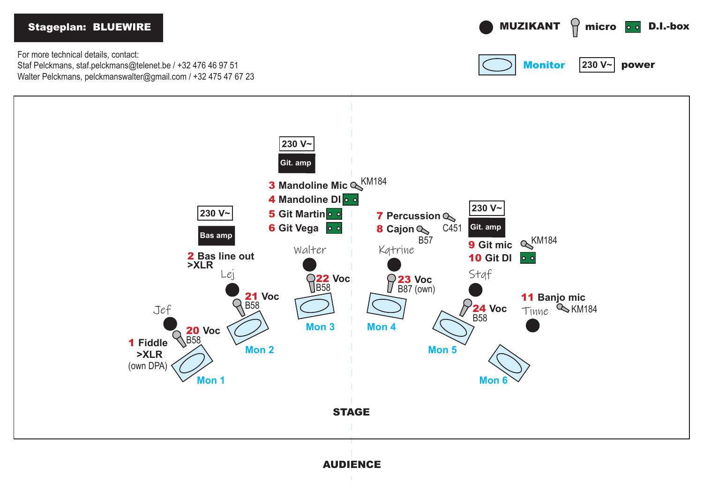## Stageplan: BLUEWIRE

For more technical details, contact:

Staf Pelckmans, staf.pelckmans@telenet.be / +32 476 46 97 51 Walter Pelckmans, pelckmanswalter@gmail.com / +32 475 47 67 23



Monitor

power **230 V~**